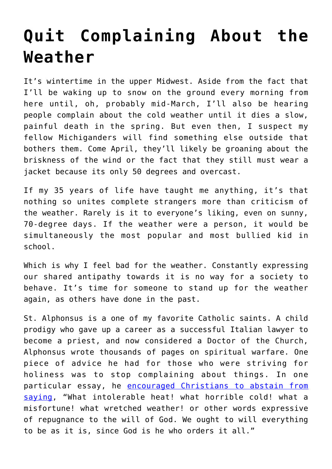## **[Quit Complaining About the](https://intellectualtakeout.org/2022/02/quit-complaining-about-the-weather/) [Weather](https://intellectualtakeout.org/2022/02/quit-complaining-about-the-weather/)**

It's wintertime in the upper Midwest. Aside from the fact that I'll be waking up to snow on the ground every morning from here until, oh, probably mid-March, I'll also be hearing people complain about the cold weather until it dies a slow, painful death in the spring. But even then, I suspect my fellow Michiganders will find something else outside that bothers them. Come April, they'll likely be groaning about the briskness of the wind or the fact that they still must wear a jacket because its only 50 degrees and overcast.

If my 35 years of life have taught me anything, it's that nothing so unites complete strangers more than criticism of the weather. Rarely is it to everyone's liking, even on sunny, 70-degree days. If the weather were a person, it would be simultaneously the most popular and most bullied kid in school.

Which is why I feel bad for the weather. Constantly expressing our shared antipathy towards it is no way for a society to behave. It's time for someone to stand up for the weather again, as others have done in the past.

St. Alphonsus is a one of my favorite Catholic saints. A child prodigy who gave up a career as a successful Italian lawyer to become a priest, and now considered a Doctor of the Church, Alphonsus wrote thousands of pages on spiritual warfare. One piece of advice he had for those who were striving for holiness was to stop complaining about things. In one particular essay, he [encouraged Christians to abstain from](https://books.google.com/books?id=PQVHDQAAQBAJ&printsec=frontcover#v=onepage&q&f=false) [saying](https://books.google.com/books?id=PQVHDQAAQBAJ&printsec=frontcover#v=onepage&q&f=false), "What intolerable heat! what horrible cold! what a misfortune! what wretched weather! or other words expressive of repugnance to the will of God. We ought to will everything to be as it is, since God is he who orders it all."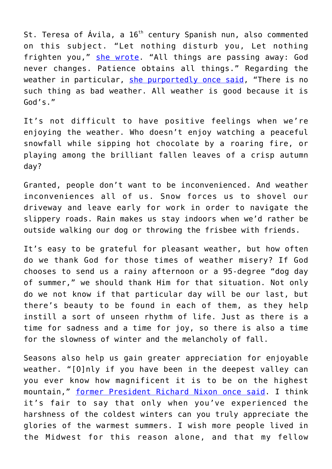St. Teresa of Ávila, a 16<sup>th</sup> century Spanish nun, also commented on this subject. "Let nothing disturb you, Let nothing frighten you," [she wrote.](https://www.ewtn.com/catholicism/devotions/prayer-of-saint-teresa-of-avila-364) "All things are passing away: God never changes. Patience obtains all things." Regarding the weather in particular, [she purportedly once said](https://www.oxfordreference.com/view/10.1093/acref/9780191826719.001.0001/q-oro-ed4-00010805), "There is no such thing as bad weather. All weather is good because it is God's."

It's not difficult to have positive feelings when we're enjoying the weather. Who doesn't enjoy watching a peaceful snowfall while sipping hot chocolate by a roaring fire, or playing among the brilliant fallen leaves of a crisp autumn day?

Granted, people don't want to be inconvenienced. And weather inconveniences all of us. Snow forces us to shovel our driveway and leave early for work in order to navigate the slippery roads. Rain makes us stay indoors when we'd rather be outside walking our dog or throwing the frisbee with friends.

It's easy to be grateful for pleasant weather, but how often do we thank God for those times of weather misery? If God chooses to send us a rainy afternoon or a 95-degree "dog day of summer," we should thank Him for that situation. Not only do we not know if that particular day will be our last, but there's beauty to be found in each of them, as they help instill a sort of unseen rhythm of life. Just as there is a time for sadness and a time for joy, so there is also a time for the slowness of winter and the melancholy of fall.

Seasons also help us gain greater appreciation for enjoyable weather. "[O]nly if you have been in the deepest valley can you ever know how magnificent it is to be on the highest mountain," [former President Richard Nixon once said.](https://www.cnn.com/ALLPOLITICS/1997/gen/resources/watergate/nixon.farewell.html) I think it's fair to say that only when you've experienced the harshness of the coldest winters can you truly appreciate the glories of the warmest summers. I wish more people lived in the Midwest for this reason alone, and that my fellow